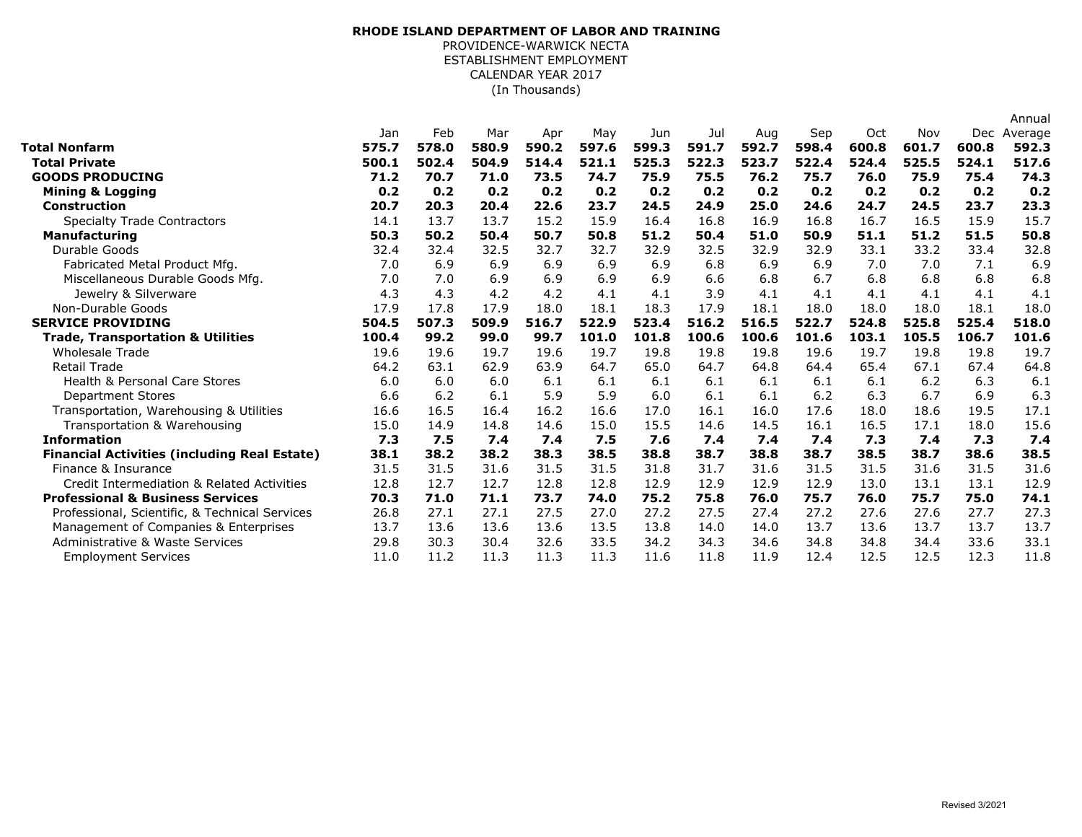## (In Thousands) **RHODE ISLAND DEPARTMENT OF LABOR AND TRAINING** PROVIDENCE-WARWICK NECTA ESTABLISHMENT EMPLOYMENT CALENDAR YEAR 2017

|                                                     |       |       |       |       |       |       |       |       |       |       |       |       | Annual  |
|-----------------------------------------------------|-------|-------|-------|-------|-------|-------|-------|-------|-------|-------|-------|-------|---------|
|                                                     | Jan   | Feb   | Mar   | Apr   | May   | Jun   | Jul   | Aug   | Sep   | Oct   | Nov   | Dec   | Average |
| Total Nonfarm                                       | 575.7 | 578.0 | 580.9 | 590.2 | 597.6 | 599.3 | 591.7 | 592.7 | 598.4 | 600.8 | 601.7 | 600.8 | 592.3   |
| <b>Total Private</b>                                | 500.1 | 502.4 | 504.9 | 514.4 | 521.1 | 525.3 | 522.3 | 523.7 | 522.4 | 524.4 | 525.5 | 524.1 | 517.6   |
| <b>GOODS PRODUCING</b>                              | 71.2  | 70.7  | 71.0  | 73.5  | 74.7  | 75.9  | 75.5  | 76.2  | 75.7  | 76.0  | 75.9  | 75.4  | 74.3    |
| <b>Mining &amp; Logging</b>                         | 0.2   | 0.2   | 0.2   | 0.2   | 0.2   | 0.2   | 0.2   | 0.2   | 0.2   | 0.2   | 0.2   | 0.2   | 0.2     |
| <b>Construction</b>                                 | 20.7  | 20.3  | 20.4  | 22.6  | 23.7  | 24.5  | 24.9  | 25.0  | 24.6  | 24.7  | 24.5  | 23.7  | 23.3    |
| <b>Specialty Trade Contractors</b>                  | 14.1  | 13.7  | 13.7  | 15.2  | 15.9  | 16.4  | 16.8  | 16.9  | 16.8  | 16.7  | 16.5  | 15.9  | 15.7    |
| <b>Manufacturing</b>                                | 50.3  | 50.2  | 50.4  | 50.7  | 50.8  | 51.2  | 50.4  | 51.0  | 50.9  | 51.1  | 51.2  | 51.5  | 50.8    |
| Durable Goods                                       | 32.4  | 32.4  | 32.5  | 32.7  | 32.7  | 32.9  | 32.5  | 32.9  | 32.9  | 33.1  | 33.2  | 33.4  | 32.8    |
| Fabricated Metal Product Mfg.                       | 7.0   | 6.9   | 6.9   | 6.9   | 6.9   | 6.9   | 6.8   | 6.9   | 6.9   | 7.0   | 7.0   | 7.1   | 6.9     |
| Miscellaneous Durable Goods Mfg.                    | 7.0   | 7.0   | 6.9   | 6.9   | 6.9   | 6.9   | 6.6   | 6.8   | 6.7   | 6.8   | 6.8   | 6.8   | 6.8     |
| Jewelry & Silverware                                | 4.3   | 4.3   | 4.2   | 4.2   | 4.1   | 4.1   | 3.9   | 4.1   | 4.1   | 4.1   | 4.1   | 4.1   | 4.1     |
| Non-Durable Goods                                   | 17.9  | 17.8  | 17.9  | 18.0  | 18.1  | 18.3  | 17.9  | 18.1  | 18.0  | 18.0  | 18.0  | 18.1  | 18.0    |
| <b>SERVICE PROVIDING</b>                            | 504.5 | 507.3 | 509.9 | 516.7 | 522.9 | 523.4 | 516.2 | 516.5 | 522.7 | 524.8 | 525.8 | 525.4 | 518.0   |
| <b>Trade, Transportation &amp; Utilities</b>        | 100.4 | 99.2  | 99.0  | 99.7  | 101.0 | 101.8 | 100.6 | 100.6 | 101.6 | 103.1 | 105.5 | 106.7 | 101.6   |
| <b>Wholesale Trade</b>                              | 19.6  | 19.6  | 19.7  | 19.6  | 19.7  | 19.8  | 19.8  | 19.8  | 19.6  | 19.7  | 19.8  | 19.8  | 19.7    |
| <b>Retail Trade</b>                                 | 64.2  | 63.1  | 62.9  | 63.9  | 64.7  | 65.0  | 64.7  | 64.8  | 64.4  | 65.4  | 67.1  | 67.4  | 64.8    |
| <b>Health &amp; Personal Care Stores</b>            | 6.0   | 6.0   | 6.0   | 6.1   | 6.1   | 6.1   | 6.1   | 6.1   | 6.1   | 6.1   | 6.2   | 6.3   | 6.1     |
| <b>Department Stores</b>                            | 6.6   | 6.2   | 6.1   | 5.9   | 5.9   | 6.0   | 6.1   | 6.1   | 6.2   | 6.3   | 6.7   | 6.9   | 6.3     |
| Transportation, Warehousing & Utilities             | 16.6  | 16.5  | 16.4  | 16.2  | 16.6  | 17.0  | 16.1  | 16.0  | 17.6  | 18.0  | 18.6  | 19.5  | 17.1    |
| Transportation & Warehousing                        | 15.0  | 14.9  | 14.8  | 14.6  | 15.0  | 15.5  | 14.6  | 14.5  | 16.1  | 16.5  | 17.1  | 18.0  | 15.6    |
| <b>Information</b>                                  | 7.3   | 7.5   | 7.4   | 7.4   | 7.5   | 7.6   | 7.4   | 7.4   | 7.4   | 7.3   | 7.4   | 7.3   | 7.4     |
| <b>Financial Activities (including Real Estate)</b> | 38.1  | 38.2  | 38.2  | 38.3  | 38.5  | 38.8  | 38.7  | 38.8  | 38.7  | 38.5  | 38.7  | 38.6  | 38.5    |
| Finance & Insurance                                 | 31.5  | 31.5  | 31.6  | 31.5  | 31.5  | 31.8  | 31.7  | 31.6  | 31.5  | 31.5  | 31.6  | 31.5  | 31.6    |
| Credit Intermediation & Related Activities          | 12.8  | 12.7  | 12.7  | 12.8  | 12.8  | 12.9  | 12.9  | 12.9  | 12.9  | 13.0  | 13.1  | 13.1  | 12.9    |
| <b>Professional &amp; Business Services</b>         | 70.3  | 71.0  | 71.1  | 73.7  | 74.0  | 75.2  | 75.8  | 76.0  | 75.7  | 76.0  | 75.7  | 75.0  | 74.1    |
| Professional, Scientific, & Technical Services      | 26.8  | 27.1  | 27.1  | 27.5  | 27.0  | 27.2  | 27.5  | 27.4  | 27.2  | 27.6  | 27.6  | 27.7  | 27.3    |
| Management of Companies & Enterprises               | 13.7  | 13.6  | 13.6  | 13.6  | 13.5  | 13.8  | 14.0  | 14.0  | 13.7  | 13.6  | 13.7  | 13.7  | 13.7    |
| Administrative & Waste Services                     | 29.8  | 30.3  | 30.4  | 32.6  | 33.5  | 34.2  | 34.3  | 34.6  | 34.8  | 34.8  | 34.4  | 33.6  | 33.1    |
| <b>Employment Services</b>                          | 11.0  | 11.2  | 11.3  | 11.3  | 11.3  | 11.6  | 11.8  | 11.9  | 12.4  | 12.5  | 12.5  | 12.3  | 11.8    |